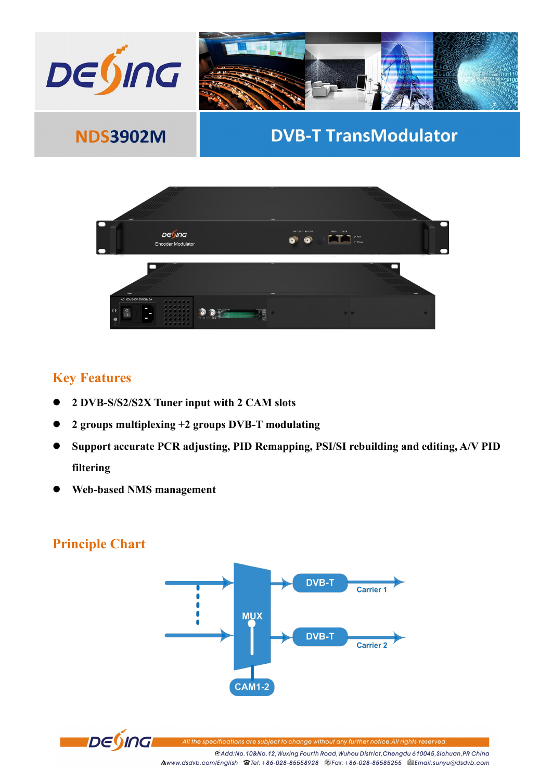



## **Key Features**

- **2 DVB-S/S2/S2X Tuner input with 2 CAM slots**
- **2 groups multiplexing +2 groups DVB-T modulating**
- **Support accurate PCR adjusting, PID Remapping, PSI/SI rebuilding and editing, A/V PID filtering**
- **Web-based NMS management**

## **Principle Chart**





ons are subject to change without any further notice.All rights reservec

EAdd:No.10&No.12, Wuxing Fourth Road, Wuhou District, Chengdu 610045, Sichuan, PR China Mwww.dsdvb.com/English <br> **Mww.dsdvb.com/English <br>
Stel:+86-028-8558928** <br>
Strax:+86-028-8585255 <br>
Stemail:sunyu@dsdvb.com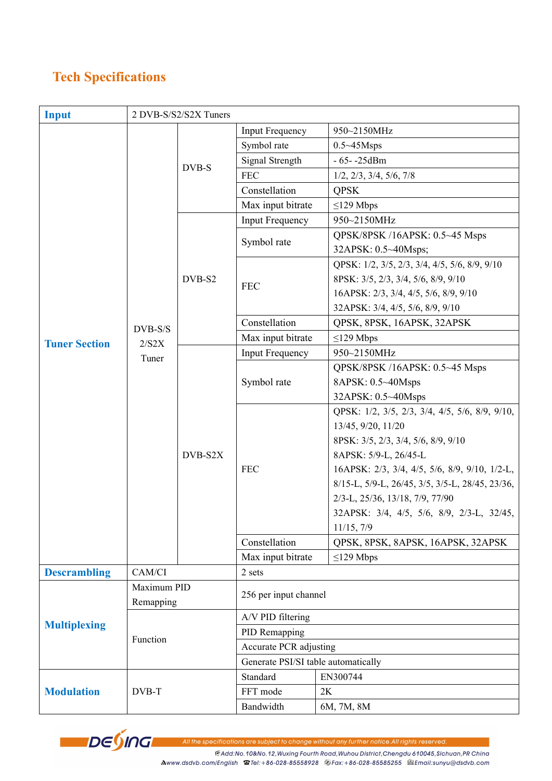## **Tech Specifications**

| <b>Input</b>         |                           | 2 DVB-S/S2/S2X Tuners |                                     |                                                                                      |  |  |
|----------------------|---------------------------|-----------------------|-------------------------------------|--------------------------------------------------------------------------------------|--|--|
| <b>Tuner Section</b> |                           | DVB-S                 | <b>Input Frequency</b>              | 950~2150MHz                                                                          |  |  |
|                      |                           |                       | Symbol rate                         | $0.5 - 45$ Msps                                                                      |  |  |
|                      |                           |                       | Signal Strength                     | $-65 - -25$ dBm                                                                      |  |  |
|                      |                           |                       | <b>FEC</b>                          | $1/2$ , $2/3$ , $3/4$ , $5/6$ , $7/8$                                                |  |  |
|                      |                           |                       | Constellation                       | <b>QPSK</b>                                                                          |  |  |
|                      |                           |                       | Max input bitrate                   | $\leq$ 129 Mbps                                                                      |  |  |
|                      |                           | DVB-S2                | <b>Input Frequency</b>              | 950~2150MHz                                                                          |  |  |
|                      | DVB-S/S<br>2/S2X<br>Tuner |                       | Symbol rate                         | QPSK/8PSK /16APSK: 0.5~45 Msps<br>32APSK: 0.5~40Msps;                                |  |  |
|                      |                           |                       | <b>FEC</b>                          | QPSK: 1/2, 3/5, 2/3, 3/4, 4/5, 5/6, 8/9, 9/10<br>8PSK: 3/5, 2/3, 3/4, 5/6, 8/9, 9/10 |  |  |
|                      |                           |                       |                                     | 16APSK: 2/3, 3/4, 4/5, 5/6, 8/9, 9/10                                                |  |  |
|                      |                           |                       |                                     | 32APSK: 3/4, 4/5, 5/6, 8/9, 9/10                                                     |  |  |
|                      |                           |                       | Constellation                       | QPSK, 8PSK, 16APSK, 32APSK                                                           |  |  |
|                      |                           |                       | Max input bitrate                   | $\leq$ 129 Mbps                                                                      |  |  |
|                      |                           | DVB-S2X               | <b>Input Frequency</b>              | 950~2150MHz                                                                          |  |  |
|                      |                           |                       | Symbol rate                         | QPSK/8PSK /16APSK: 0.5~45 Msps                                                       |  |  |
|                      |                           |                       |                                     | 8APSK: 0.5~40Msps                                                                    |  |  |
|                      |                           |                       |                                     | 32APSK: 0.5~40Msps                                                                   |  |  |
|                      |                           |                       | <b>FEC</b>                          | QPSK: 1/2, 3/5, 2/3, 3/4, 4/5, 5/6, 8/9, 9/10,                                       |  |  |
|                      |                           |                       |                                     | 13/45, 9/20, 11/20                                                                   |  |  |
|                      |                           |                       |                                     | 8PSK: 3/5, 2/3, 3/4, 5/6, 8/9, 9/10                                                  |  |  |
|                      |                           |                       |                                     | 8APSK: 5/9-L, 26/45-L                                                                |  |  |
|                      |                           |                       |                                     | 16APSK: 2/3, 3/4, 4/5, 5/6, 8/9, 9/10, 1/2-L,                                        |  |  |
|                      |                           |                       |                                     | 8/15-L, 5/9-L, 26/45, 3/5, 3/5-L, 28/45, 23/36,                                      |  |  |
|                      |                           |                       |                                     | 2/3-L, 25/36, 13/18, 7/9, 77/90                                                      |  |  |
|                      |                           |                       |                                     | 32APSK: 3/4, 4/5, 5/6, 8/9, 2/3-L, 32/45,                                            |  |  |
|                      |                           |                       |                                     | 11/15, 7/9                                                                           |  |  |
|                      |                           |                       | Constellation                       | QPSK, 8PSK, 8APSK, 16APSK, 32APSK                                                    |  |  |
|                      |                           |                       | Max input bitrate                   | $\leq$ 129 Mbps                                                                      |  |  |
| <b>Descrambling</b>  | CAM/CI                    |                       | 2 sets                              |                                                                                      |  |  |
| <b>Multiplexing</b>  | Maximum PID<br>Remapping  |                       | 256 per input channel               |                                                                                      |  |  |
|                      | Function                  |                       | A/V PID filtering                   |                                                                                      |  |  |
|                      |                           |                       | PID Remapping                       |                                                                                      |  |  |
|                      |                           |                       | Accurate PCR adjusting              |                                                                                      |  |  |
|                      |                           |                       | Generate PSI/SI table automatically |                                                                                      |  |  |
| <b>Modulation</b>    | DVB-T                     |                       | Standard                            | EN300744                                                                             |  |  |
|                      |                           |                       | FFT mode                            | 2K                                                                                   |  |  |
|                      |                           |                       | Bandwidth                           | 6M, 7M, 8M                                                                           |  |  |



All the specifications are subject to change without any further notice.All rights reserved.

FAdd:No.10&No.12, Wuxing Fourth Road, Wuhou District, Chengdu 610045, Sichuan, PR China

Mwww.dsdvb.com/English 宫Tel:+86-028-85558928 @Fax:+86-028-85585255 @Email:sunyu@dsdvb.com